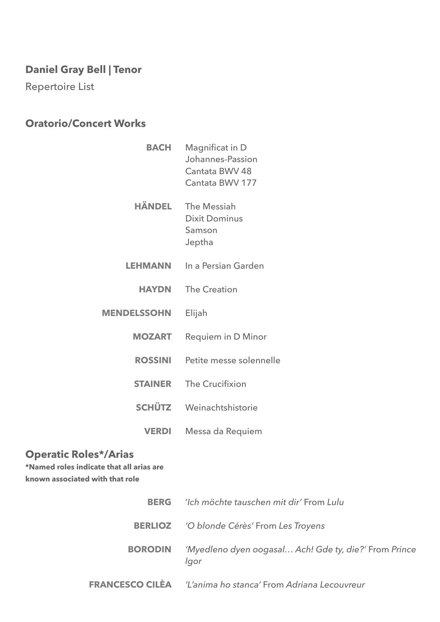# **Daniel Gray Bell | Tenor**

Repertoire List

## **Oratorio/Concert Works**

| <b>BACH</b>        | <b>Magnificat in D</b><br>Johannes-Passion<br>Cantata BWV 48<br>Cantata BWV 177 |
|--------------------|---------------------------------------------------------------------------------|
| HÄNDEL             | The Messiah<br><b>Dixit Dominus</b><br>Samson<br>Jeptha                         |
| <b>LEHMANN</b>     | In a Persian Garden                                                             |
| <b>HAYDN</b>       | <b>The Creation</b>                                                             |
| <b>MENDELSSOHN</b> | Elijah                                                                          |
| <b>MOZART</b>      | <b>Requiem in D Minor</b>                                                       |
| <b>ROSSINI</b>     | Petite messe solennelle                                                         |
| <b>STAINER</b>     | The Crucifixion                                                                 |
| <b>SCHÜTZ</b>      | Weinachtshistorie                                                               |
| <b>VERDI</b>       | Messa da Requiem                                                                |

### **Operatic Roles\*/Arias**

**\*Named roles indicate that all arias are known associated with that role** 

| <b>BERG</b>    | 'Ich möchte tauschen mit dir' From Lulu                            |
|----------------|--------------------------------------------------------------------|
|                | <b>BERLIOZ</b> 'O blonde Cérès' From Les Troyens                   |
| <b>BORODIN</b> | 'Myedleno dyen oogasal Ach! Gde ty, die?' From Prince<br>Igor      |
|                | <b>FRANCESCO CILEA</b> 'L'anima ho stanca' From Adriana Lecouvreur |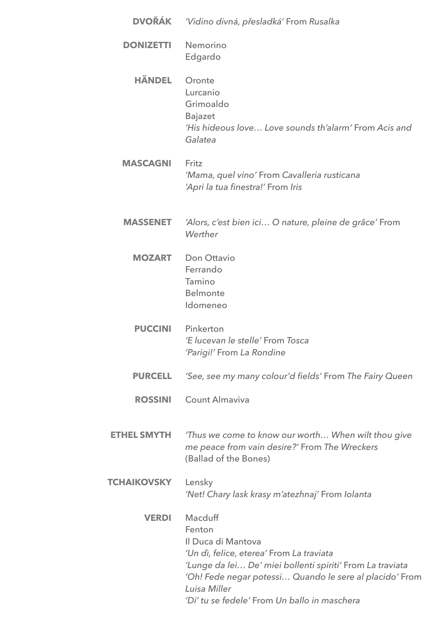| <b>DVOŘÁK</b>      | 'Vidino divná, přesladká' From Rusalka                                                                                                                                                                                                                                      |
|--------------------|-----------------------------------------------------------------------------------------------------------------------------------------------------------------------------------------------------------------------------------------------------------------------------|
| <b>DONIZETTI</b>   | Nemorino<br>Edgardo                                                                                                                                                                                                                                                         |
| <b>HÄNDEL</b>      | Oronte<br>Lurcanio<br>Grimoaldo<br><b>Bajazet</b><br>'His hideous love Love sounds th'alarm' From Acis and<br>Galatea                                                                                                                                                       |
| <b>MASCAGNI</b>    | Fritz<br>'Mama, quel vino' From Cavalleria rusticana<br>'Apri la tua finestra!' From Iris                                                                                                                                                                                   |
| <b>MASSENET</b>    | 'Alors, c'est bien ici O nature, pleine de grâce' From<br>Werther                                                                                                                                                                                                           |
| <b>MOZART</b>      | <b>Don Ottavio</b><br>Ferrando<br>Tamino<br><b>Belmonte</b><br>Idomeneo                                                                                                                                                                                                     |
| <b>PUCCINI</b>     | Pinkerton<br>'E lucevan le stelle' From Tosca<br>'Parigi!' From La Rondine                                                                                                                                                                                                  |
| <b>PURCELL</b>     | 'See, see my many colour'd fields' From The Fairy Queen                                                                                                                                                                                                                     |
| <b>ROSSINI</b>     | Count Almaviva                                                                                                                                                                                                                                                              |
| <b>ETHEL SMYTH</b> | 'Thus we come to know our worth When wilt thou give<br>me peace from vain desire?' From The Wreckers<br>(Ballad of the Bones)                                                                                                                                               |
| <b>TCHAIKOVSKY</b> | Lensky<br>'Net! Chary lask krasy m'atezhnaj' From Iolanta                                                                                                                                                                                                                   |
| <b>VERDI</b>       | Macduff<br>Fenton<br>Il Duca di Mantova<br>'Un dì, felice, eterea' From La traviata<br>'Lunge da lei De' miei bollenti spiriti' From La traviata<br>'Oh! Fede negar potessi Quando le sere al placido' From<br>Luisa Miller<br>'Di' tu se fedele' From Un ballo in maschera |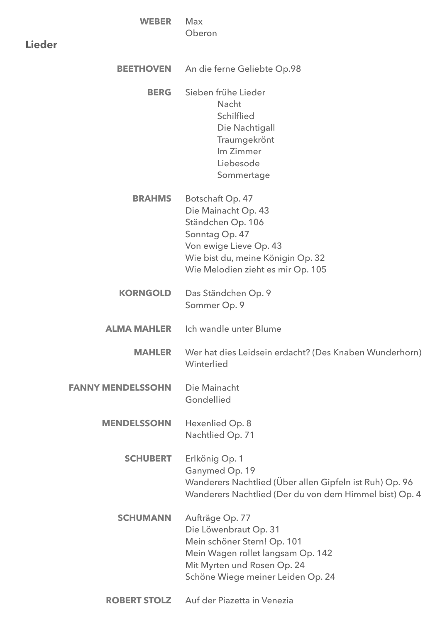| <b>WEBER</b>             | Max<br>Oberon                                                                                                                                                                      |
|--------------------------|------------------------------------------------------------------------------------------------------------------------------------------------------------------------------------|
| <b>Lieder</b>            |                                                                                                                                                                                    |
| <b>BEETHOVEN</b>         | An die ferne Geliebte Op.98                                                                                                                                                        |
| <b>BERG</b>              | Sieben frühe Lieder<br>Nacht<br>Schilflied<br>Die Nachtigall<br>Traumgekrönt<br>Im Zimmer<br>Liebesode<br>Sommertage                                                               |
| <b>BRAHMS</b>            | Botschaft Op. 47<br>Die Mainacht Op. 43<br>Ständchen Op. 106<br>Sonntag Op. 47<br>Von ewige Lieve Op. 43<br>Wie bist du, meine Königin Op. 32<br>Wie Melodien zieht es mir Op. 105 |
| <b>KORNGOLD</b>          | Das Ständchen Op. 9<br>Sommer Op. 9                                                                                                                                                |
| <b>ALMA MAHLER</b>       | Ich wandle unter Blume                                                                                                                                                             |
| <b>MAHLER</b>            | Wer hat dies Leidsein erdacht? (Des Knaben Wunderhorn)<br>Winterlied                                                                                                               |
| <b>FANNY MENDELSSOHN</b> | Die Mainacht<br>Gondellied                                                                                                                                                         |
| <b>MENDELSSOHN</b>       | Hexenlied Op. 8<br>Nachtlied Op. 71                                                                                                                                                |
| <b>SCHUBERT</b>          | Erlkönig Op. 1<br>Ganymed Op. 19<br>Wanderers Nachtlied (Über allen Gipfeln ist Ruh) Op. 96<br>Wanderers Nachtlied (Der du von dem Himmel bist) Op. 4                              |
| <b>SCHUMANN</b>          | Aufträge Op. 77<br>Die Löwenbraut Op. 31<br>Mein schöner Stern! Op. 101<br>Mein Wagen rollet langsam Op. 142<br>Mit Myrten und Rosen Op. 24<br>Schöne Wiege meiner Leiden Op. 24   |

**ROBERT STOLZ** Auf der Piazetta in Venezia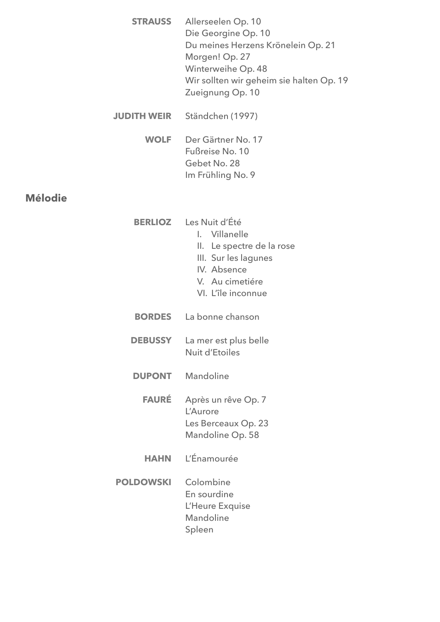**STRAUSS**  Allerseelen Op. 10 Die Georgine Op. 10 Du meines Herzens Krönelein Op. 21 Morgen! Op. 27 Winterweihe Op. 48 Wir sollten wir geheim sie halten Op. 19 Zueignung Op. 10

- **JUDITH WEIR**  Ständchen (1997)
	- **WOLF**  Der Gärtner No. 17 Fußreise No. 10 Gebet No. 28 Im Frühling No. 9

#### **Mélodie**

- **BERLIOZ**  Les Nuit d'Été I. Villanelle
	- II. Le spectre de la rose
	- III. Sur les lagunes
	- IV. Absence
	- V. Au cimetiére
	- VI. L'île inconnue
- **BORDES**  La bonne chanson
- **DEBUSSY**  La mer est plus belle Nuit d'Etoiles
- **DUPONT**  Mandoline
	- **FAURÉ**  Après un rêve Op. 7 L'Aurore Les Berceaux Op. 23 Mandoline Op. 58
	- **HAHN**  L'Énamourée
- **POLDOWSKI** Colombine En sourdine L'Heure Exquise Mandoline Spleen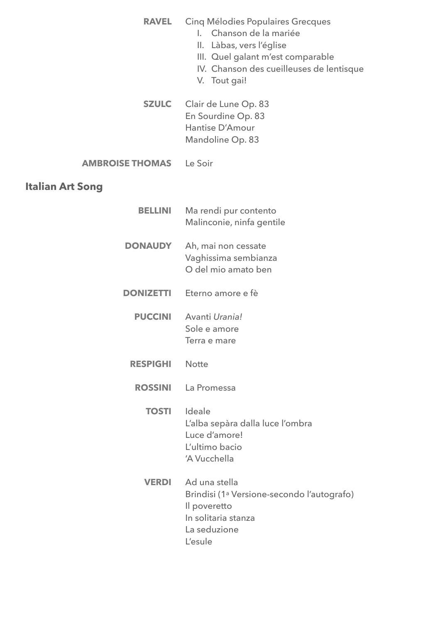| <b>RAVEL</b>           | Cinq Mélodies Populaires Grecques<br>Chanson de la mariée<br>L.<br>II. Làbas, vers l'église<br>III. Quel galant m'est comparable<br>IV. Chanson des cueilleuses de lentisque<br>V. Tout gai! |
|------------------------|----------------------------------------------------------------------------------------------------------------------------------------------------------------------------------------------|
| <b>SZULC</b>           | Clair de Lune Op. 83<br>En Sourdine Op. 83<br>Hantise D'Amour<br>Mandoline Op. 83                                                                                                            |
| <b>AMBROISE THOMAS</b> | Le Soir                                                                                                                                                                                      |
| Italian Art Song       |                                                                                                                                                                                              |
| <b>BELLINI</b>         | Ma rendi pur contento<br>Malinconie, ninfa gentile                                                                                                                                           |
| <b>DONAUDY</b>         | Ah, mai non cessate<br>Vaghissima sembianza<br>O del mio amato ben                                                                                                                           |
| <b>DONIZETTI</b>       | Eterno amore e fè                                                                                                                                                                            |
| <b>PUCCINI</b>         | Avanti Urania!<br>Sole e amore<br>Terra e mare                                                                                                                                               |
| <b>RESPIGHI</b>        | <b>Notte</b>                                                                                                                                                                                 |
| <b>ROSSINI</b>         | La Promessa                                                                                                                                                                                  |
| <b>TOSTI</b>           | Ideale<br>L'alba sepàra dalla luce l'ombra<br>Luce d'amore!<br>L'ultimo bacio<br>'A Vucchella                                                                                                |
| <b>VERDI</b>           | Ad una stella<br>Brindisi (1 <sup>ª</sup> Versione-secondo l'autografo)<br>Il poveretto<br>In solitaria stanza<br>La seduzione<br>L'esule                                                    |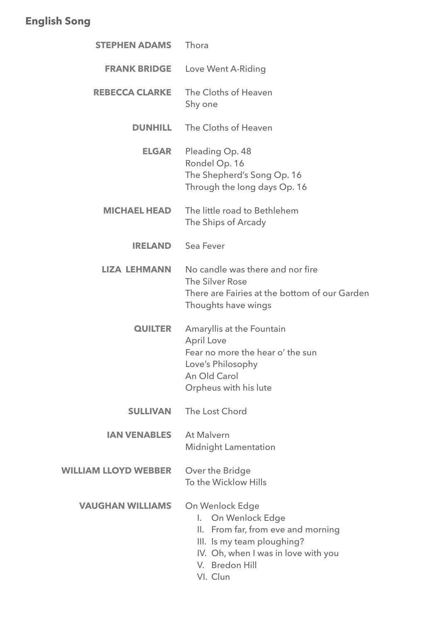# **English Song**

| <b>STEPHEN ADAMS</b>        | Thora                                                                                                                                                                                    |
|-----------------------------|------------------------------------------------------------------------------------------------------------------------------------------------------------------------------------------|
| <b>FRANK BRIDGE</b>         | Love Went A-Riding                                                                                                                                                                       |
| <b>REBECCA CLARKE</b>       | The Cloths of Heaven<br>Shy one                                                                                                                                                          |
| <b>DUNHILL</b>              | The Cloths of Heaven                                                                                                                                                                     |
| <b>ELGAR</b>                | Pleading Op. 48<br>Rondel Op. 16<br>The Shepherd's Song Op. 16<br>Through the long days Op. 16                                                                                           |
| <b>MICHAEL HEAD</b>         | The little road to Bethlehem<br>The Ships of Arcady                                                                                                                                      |
| <b>IRELAND</b>              | Sea Fever                                                                                                                                                                                |
| <b>LIZA LEHMANN</b>         | No candle was there and nor fire<br>The Silver Rose<br>There are Fairies at the bottom of our Garden<br>Thoughts have wings                                                              |
| <b>QUILTER</b>              | Amaryllis at the Fountain<br><b>April Love</b><br>Fear no more the hear o' the sun<br>Love's Philosophy<br>An Old Carol<br>Orpheus with his lute                                         |
| <b>SULLIVAN</b>             | The Lost Chord                                                                                                                                                                           |
| <b>IAN VENABLES</b>         | <b>At Malvern</b><br><b>Midnight Lamentation</b>                                                                                                                                         |
| <b>WILLIAM LLOYD WEBBER</b> | Over the Bridge<br>To the Wicklow Hills                                                                                                                                                  |
| <b>VAUGHAN WILLIAMS</b>     | On Wenlock Edge<br><b>On Wenlock Edge</b><br>I.<br>II. From far, from eve and morning<br>III. Is my team ploughing?<br>IV. Oh, when I was in love with you<br>V. Bredon Hill<br>VI. Clun |